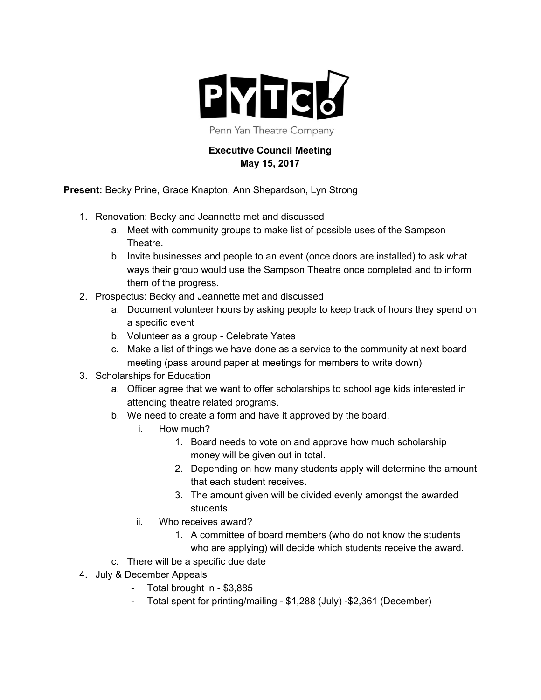

Penn Yan Theatre Company

## **Executive Council Meeting May 15, 2017**

**Present:** Becky Prine, Grace Knapton, Ann Shepardson, Lyn Strong

- 1. Renovation: Becky and Jeannette met and discussed
	- a. Meet with community groups to make list of possible uses of the Sampson Theatre.
	- b. Invite businesses and people to an event (once doors are installed) to ask what ways their group would use the Sampson Theatre once completed and to inform them of the progress.
- 2. Prospectus: Becky and Jeannette met and discussed
	- a. Document volunteer hours by asking people to keep track of hours they spend on a specific event
	- b. Volunteer as a group Celebrate Yates
	- c. Make a list of things we have done as a service to the community at next board meeting (pass around paper at meetings for members to write down)
- 3. Scholarships for Education
	- a. Officer agree that we want to offer scholarships to school age kids interested in attending theatre related programs.
	- b. We need to create a form and have it approved by the board.
		- i. How much?
			- 1. Board needs to vote on and approve how much scholarship money will be given out in total.
			- 2. Depending on how many students apply will determine the amount that each student receives.
			- 3. The amount given will be divided evenly amongst the awarded students.
		- ii. Who receives award?
			- 1. A committee of board members (who do not know the students who are applying) will decide which students receive the award.
	- c. There will be a specific due date
- 4. July & December Appeals
	- Total brought in \$3,885
	- Total spent for printing/mailing \$1,288 (July) -\$2,361 (December)